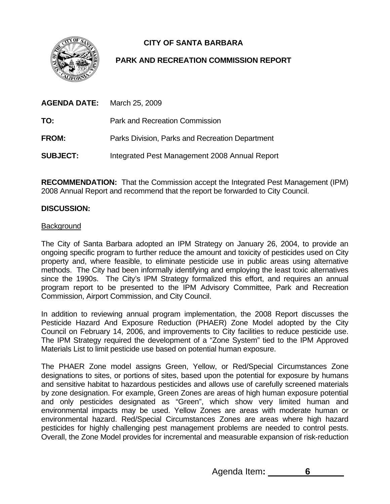**CITY OF SANTA BARBARA** 



# **PARK AND RECREATION COMMISSION REPORT**

| AGENDA DATE:    | March 25, 2009                                  |
|-----------------|-------------------------------------------------|
| TO:             | <b>Park and Recreation Commission</b>           |
| <b>FROM:</b>    | Parks Division, Parks and Recreation Department |
| <b>SUBJECT:</b> | Integrated Pest Management 2008 Annual Report   |

**RECOMMENDATION:** That the Commission accept the Integrated Pest Management (IPM) 2008 Annual Report and recommend that the report be forwarded to City Council.

## **DISCUSSION:**

#### **Background**

The City of Santa Barbara adopted an IPM Strategy on January 26, 2004, to provide an ongoing specific program to further reduce the amount and toxicity of pesticides used on City property and, where feasible, to eliminate pesticide use in public areas using alternative methods. The City had been informally identifying and employing the least toxic alternatives since the 1990s. The City's IPM Strategy formalized this effort, and requires an annual program report to be presented to the IPM Advisory Committee, Park and Recreation Commission, Airport Commission, and City Council.

In addition to reviewing annual program implementation, the 2008 Report discusses the Pesticide Hazard And Exposure Reduction (PHAER) Zone Model adopted by the City Council on February 14, 2006, and improvements to City facilities to reduce pesticide use. The IPM Strategy required the development of a "Zone System" tied to the IPM Approved Materials List to limit pesticide use based on potential human exposure.

The PHAER Zone model assigns Green, Yellow, or Red/Special Circumstances Zone designations to sites, or portions of sites, based upon the potential for exposure by humans and sensitive habitat to hazardous pesticides and allows use of carefully screened materials by zone designation. For example, Green Zones are areas of high human exposure potential and only pesticides designated as "Green", which show very limited human and environmental impacts may be used. Yellow Zones are areas with moderate human or environmental hazard. Red/Special Circumstances Zones are areas where high hazard pesticides for highly challenging pest management problems are needed to control pests. Overall, the Zone Model provides for incremental and measurable expansion of risk-reduction

Agenda Item**: 6**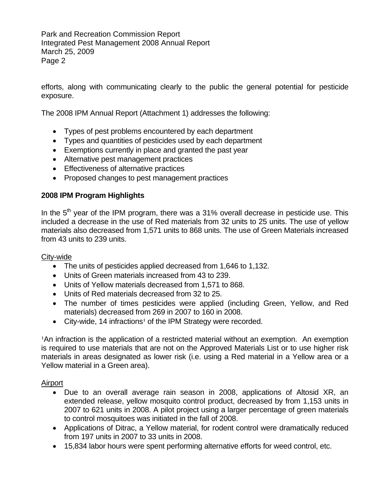Park and Recreation Commission Report Integrated Pest Management 2008 Annual Report March 25, 2009 Page 2

efforts, along with communicating clearly to the public the general potential for pesticide exposure.

The 2008 IPM Annual Report (Attachment 1) addresses the following:

- Types of pest problems encountered by each department
- Types and quantities of pesticides used by each department
- Exemptions currently in place and granted the past year
- Alternative pest management practices
- Effectiveness of alternative practices
- Proposed changes to pest management practices

## **2008 IPM Program Highlights**

In the  $5<sup>th</sup>$  year of the IPM program, there was a 31% overall decrease in pesticide use. This included a decrease in the use of Red materials from 32 units to 25 units. The use of yellow materials also decreased from 1,571 units to 868 units. The use of Green Materials increased from 43 units to 239 units.

## City-wide

- The units of pesticides applied decreased from 1,646 to 1,132.
- Units of Green materials increased from 43 to 239.
- Units of Yellow materials decreased from 1,571 to 868.
- Units of Red materials decreased from 32 to 25.
- The number of times pesticides were applied (including Green, Yellow, and Red materials) decreased from 269 in 2007 to 160 in 2008.
- City-wide, 14 infractions<sup>1</sup> of the IPM Strategy were recorded.

<sup>1</sup>An infraction is the application of a restricted material without an exemption. An exemption is required to use materials that are not on the Approved Materials List or to use higher risk materials in areas designated as lower risk (i.e. using a Red material in a Yellow area or a Yellow material in a Green area).

## Airport

- Due to an overall average rain season in 2008, applications of Altosid XR, an extended release, yellow mosquito control product, decreased by from 1,153 units in 2007 to 621 units in 2008. A pilot project using a larger percentage of green materials to control mosquitoes was initiated in the fall of 2008.
- Applications of Ditrac, a Yellow material, for rodent control were dramatically reduced from 197 units in 2007 to 33 units in 2008.
- 15,834 labor hours were spent performing alternative efforts for weed control, etc.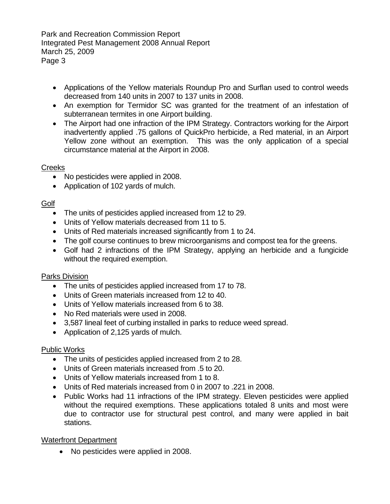Park and Recreation Commission Report Integrated Pest Management 2008 Annual Report March 25, 2009 Page 3

- Applications of the Yellow materials Roundup Pro and Surflan used to control weeds decreased from 140 units in 2007 to 137 units in 2008.
- An exemption for Termidor SC was granted for the treatment of an infestation of subterranean termites in one Airport building.
- The Airport had one infraction of the IPM Strategy. Contractors working for the Airport inadvertently applied .75 gallons of QuickPro herbicide, a Red material, in an Airport Yellow zone without an exemption. This was the only application of a special circumstance material at the Airport in 2008.

## **Creeks**

- No pesticides were applied in 2008.
- Application of 102 yards of mulch.

## Golf

- The units of pesticides applied increased from 12 to 29.
- Units of Yellow materials decreased from 11 to 5.
- Units of Red materials increased significantly from 1 to 24.
- The golf course continues to brew microorganisms and compost tea for the greens.
- Golf had 2 infractions of the IPM Strategy, applying an herbicide and a fungicide without the required exemption.

## Parks Division

- The units of pesticides applied increased from 17 to 78.
- Units of Green materials increased from 12 to 40.
- Units of Yellow materials increased from 6 to 38.
- No Red materials were used in 2008.
- 3,587 lineal feet of curbing installed in parks to reduce weed spread.
- Application of 2,125 yards of mulch.

## Public Works

- The units of pesticides applied increased from 2 to 28.
- Units of Green materials increased from .5 to 20.
- Units of Yellow materials increased from 1 to 8.
- Units of Red materials increased from 0 in 2007 to .221 in 2008.
- Public Works had 11 infractions of the IPM strategy. Eleven pesticides were applied without the required exemptions. These applications totaled 8 units and most were due to contractor use for structural pest control, and many were applied in bait stations.

# Waterfront Department

• No pesticides were applied in 2008.